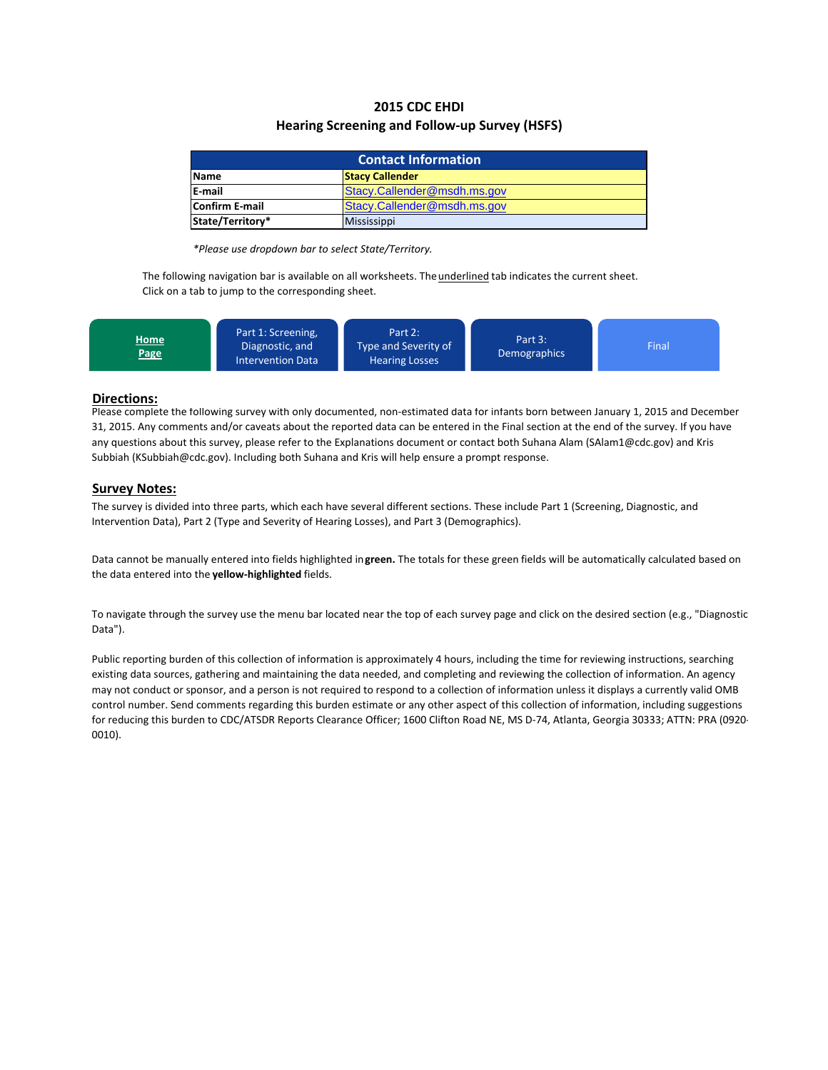# **2015 CDC EHDI Hearing Screening and Follow‐up Survey (HSFS)**

| <b>Contact Information</b>                    |  |  |  |  |  |
|-----------------------------------------------|--|--|--|--|--|
| <b>Stacy Callender</b><br><b>Name</b>         |  |  |  |  |  |
| <b>E-mail</b><br>Stacy.Callender@msdh.ms.gov  |  |  |  |  |  |
| Stacy.Callender@msdh.ms.gov<br>Confirm E-mail |  |  |  |  |  |
| State/Territory*<br><b>Mississippi</b>        |  |  |  |  |  |

*\*Please use dropdown bar to select State/Territory.*

The following navigation bar is available on all worksheets. The *underlined* tab indicates the current sheet. Click on a tab to jump to the corresponding sheet.



## **Directions:**

Please complete the following survey with only documented, non‐estimated data for infants born between January 1, 2015 and December 31, 2015. Any comments and/or caveats about the reported data can be entered in the Final section at the end of the survey. If you have any questions about this survey, please refer to the Explanations document or contact both Suhana Alam (SAlam1@cdc.gov) and Kris Subbiah (KSubbiah@cdc.gov). Including both Suhana and Kris will help ensure a prompt response.

## **Survey Notes:**

The survey is divided into three parts, which each have several different sections. These include Part 1 (Screening, Diagnostic, and Intervention Data), Part 2 (Type and Severity of Hearing Losses), and Part 3 (Demographics).

Data cannot be manually entered into fields highlighted in**green.** The totals for these green fields will be automatically calculated based on the data entered into the **yellow‐highlighted** fields.

To navigate through the survey use the menu bar located near the top of each survey page and click on the desired section (e.g., "Diagnostic Data").

Public reporting burden of this collection of information is approximately 4 hours, including the time for reviewing instructions, searching existing data sources, gathering and maintaining the data needed, and completing and reviewing the collection of information. An agency may not conduct or sponsor, and a person is not required to respond to a collection of information unless it displays a currently valid OMB control number. Send comments regarding this burden estimate or any other aspect of this collection of information, including suggestions for reducing this burden to CDC/ATSDR Reports Clearance Officer; 1600 Clifton Road NE, MS D-74, Atlanta, Georgia 30333; ATTN: PRA (0920-0010).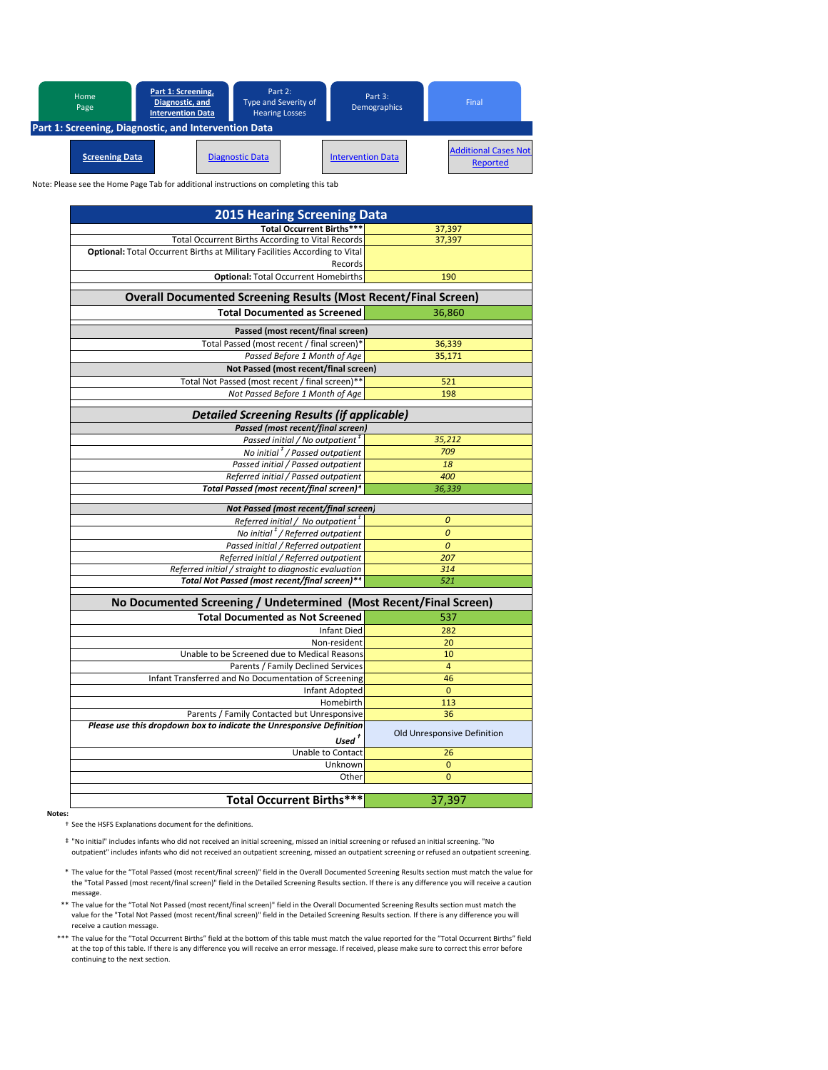

Note: Please see the Home Page Tab for additional instructions on completing this tab

| <b>2015 Hearing Screening Data</b>                                                    |                             |  |  |  |  |  |  |
|---------------------------------------------------------------------------------------|-----------------------------|--|--|--|--|--|--|
| <b>Total Occurrent Births***</b>                                                      | 37,397                      |  |  |  |  |  |  |
| <b>Total Occurrent Births According to Vital Records</b>                              | 37,397                      |  |  |  |  |  |  |
| Optional: Total Occurrent Births at Military Facilities According to Vital<br>Records |                             |  |  |  |  |  |  |
| <b>Optional: Total Occurrent Homebirths</b>                                           | 190                         |  |  |  |  |  |  |
| <b>Overall Documented Screening Results (Most Recent/Final Screen)</b>                |                             |  |  |  |  |  |  |
| <b>Total Documented as Screened</b>                                                   | 36.860                      |  |  |  |  |  |  |
| Passed (most recent/final screen)                                                     |                             |  |  |  |  |  |  |
| Total Passed (most recent / final screen)*                                            | 36,339                      |  |  |  |  |  |  |
| Passed Before 1 Month of Age                                                          | 35,171                      |  |  |  |  |  |  |
| Not Passed (most recent/final screen)                                                 |                             |  |  |  |  |  |  |
| Total Not Passed (most recent / final screen)**                                       | 521                         |  |  |  |  |  |  |
| Not Passed Before 1 Month of Age                                                      | 198                         |  |  |  |  |  |  |
| <b>Detailed Screening Results (if applicable)</b>                                     |                             |  |  |  |  |  |  |
| Passed (most recent/final screen)                                                     |                             |  |  |  |  |  |  |
| Passed initial / No outpatient <sup>#</sup>                                           | 35,212                      |  |  |  |  |  |  |
| No initial <sup>#</sup> / Passed outpatient                                           | 709                         |  |  |  |  |  |  |
| Passed initial / Passed outpatient                                                    | 18                          |  |  |  |  |  |  |
| Referred initial / Passed outpatient                                                  | 400                         |  |  |  |  |  |  |
| Total Passed (most recent/final screen)*                                              | 36,339                      |  |  |  |  |  |  |
| Not Passed (most recent/final screen)                                                 |                             |  |  |  |  |  |  |
| Referred initial / No outpatient <sup>#</sup>                                         | 0                           |  |  |  |  |  |  |
| No initial <sup>#</sup> / Referred outpatient                                         | $\mathcal{O}$               |  |  |  |  |  |  |
| Passed initial / Referred outpatient                                                  | $\boldsymbol{0}$            |  |  |  |  |  |  |
| Referred initial / Referred outpatient                                                | 207                         |  |  |  |  |  |  |
| Referred initial / straight to diagnostic evaluation                                  | 314                         |  |  |  |  |  |  |
| Total Not Passed (most recent/final screen)**                                         | 521                         |  |  |  |  |  |  |
| No Documented Screening / Undetermined (Most Recent/Final Screen)                     |                             |  |  |  |  |  |  |
| <b>Total Documented as Not Screened</b>                                               | 537                         |  |  |  |  |  |  |
| Infant Died                                                                           | 282                         |  |  |  |  |  |  |
| Non-resident                                                                          | 20                          |  |  |  |  |  |  |
| Unable to be Screened due to Medical Reasons                                          | 10                          |  |  |  |  |  |  |
| Parents / Family Declined Services                                                    | $\overline{4}$              |  |  |  |  |  |  |
| Infant Transferred and No Documentation of Screening                                  | 46                          |  |  |  |  |  |  |
| Infant Adopted                                                                        | $\mathbf{0}$                |  |  |  |  |  |  |
| Homebirth                                                                             | 113                         |  |  |  |  |  |  |
| Parents / Family Contacted but Unresponsive                                           | 36                          |  |  |  |  |  |  |
| Please use this dropdown box to indicate the Unresponsive Definition                  | Old Unresponsive Definition |  |  |  |  |  |  |
| $Usedt$                                                                               |                             |  |  |  |  |  |  |
| Unable to Contact                                                                     | 26                          |  |  |  |  |  |  |
| Unknown                                                                               | $\mathbf{0}$                |  |  |  |  |  |  |
| Other                                                                                 | $\overline{0}$              |  |  |  |  |  |  |
| <b>Total Occurrent Births***</b>                                                      | 37,397                      |  |  |  |  |  |  |

**Notes:**

† See the HSFS Explanations document for the definitions.

- ‡ "No initial" includes infants who did not received an initial screening, missed an initial screening or refused an initial screening. "No outpatient" includes infants who did not received an outpatient screening, missed an outpatient screening or refused an outpatient screening.
- \* The value for the "Total Passed (most recent/final screen)" field in the Overall Documented Screening Results section must match the value for the "Total Passed (most recent/final screen)" field in the Detailed Screening Results section. If there is any difference you will receive a caution message.
- \*\* The value for the "Total Not Passed (most recent/final screen)" field in the Overall Documented Screening Results section must match the value for the "Total Not Passed (most recent/final screen)" field in the Detailed Screening Results section. If there is any difference you will receive a caution message.
- \*\*\* The value for the "Total Occurrent Births" field at the bottom of this table must match the value reported for the "Total Occurrent Births" field at the top of this table. If there is any difference you will receive an error message. If received, please make sure to correct this error before continuing to the next section.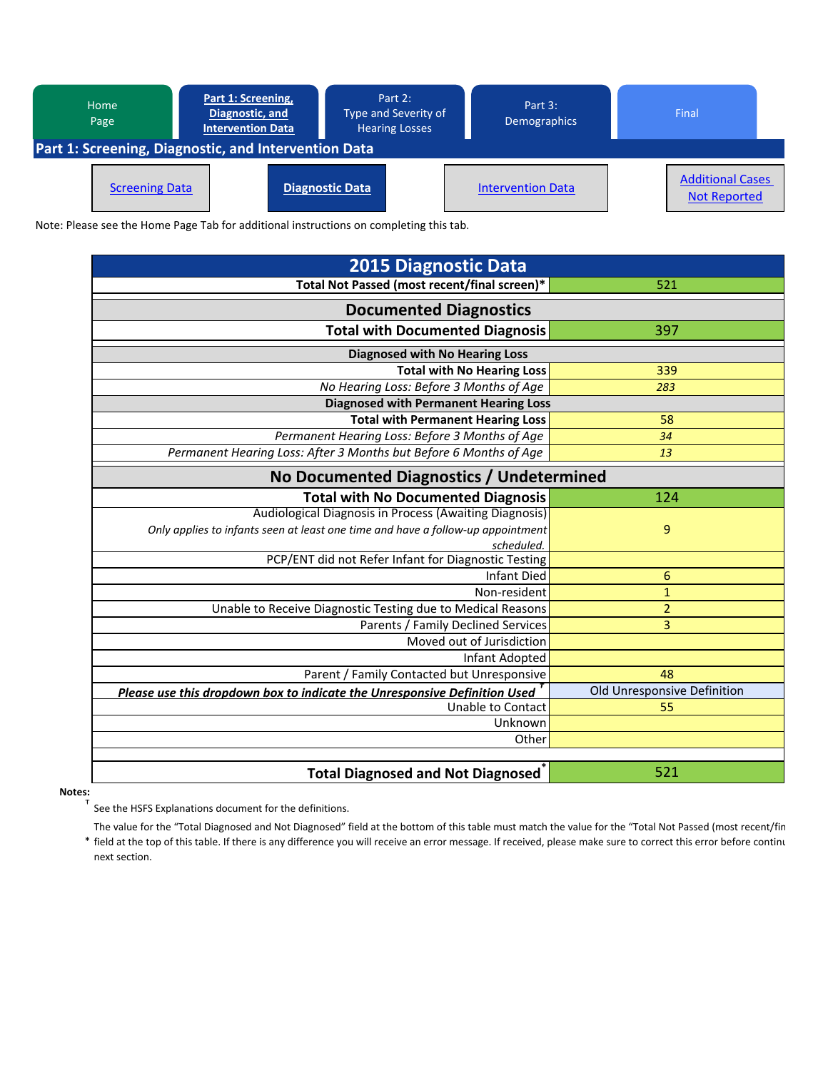| Part 1: Screening,<br>Home<br>Diagnostic, and<br>Page<br><b>Intervention Data</b> |                       | Part 2:<br>Type and Severity of<br><b>Hearing Losses</b> | Part 3:<br><b>Demographics</b> |                          | Final |                                                |  |
|-----------------------------------------------------------------------------------|-----------------------|----------------------------------------------------------|--------------------------------|--------------------------|-------|------------------------------------------------|--|
| Part 1: Screening, Diagnostic, and Intervention Data                              |                       |                                                          |                                |                          |       |                                                |  |
|                                                                                   | <b>Screening Data</b> |                                                          | <b>Diagnostic Data</b>         | <b>Intervention Data</b> |       | <b>Additional Cases</b><br><b>Not Reported</b> |  |

Note: Please see the Home Page Tab for additional instructions on completing this tab.

| <b>2015 Diagnostic Data</b>                                                     |                             |  |  |  |  |  |  |
|---------------------------------------------------------------------------------|-----------------------------|--|--|--|--|--|--|
| Total Not Passed (most recent/final screen)*                                    | 521                         |  |  |  |  |  |  |
| <b>Documented Diagnostics</b>                                                   |                             |  |  |  |  |  |  |
| <b>Total with Documented Diagnosis</b>                                          | 397                         |  |  |  |  |  |  |
| <b>Diagnosed with No Hearing Loss</b>                                           |                             |  |  |  |  |  |  |
| <b>Total with No Hearing Loss</b>                                               | 339                         |  |  |  |  |  |  |
| No Hearing Loss: Before 3 Months of Age                                         | 283                         |  |  |  |  |  |  |
| <b>Diagnosed with Permanent Hearing Loss</b>                                    |                             |  |  |  |  |  |  |
| <b>Total with Permanent Hearing Loss</b>                                        | 58                          |  |  |  |  |  |  |
| Permanent Hearing Loss: Before 3 Months of Age                                  | 34                          |  |  |  |  |  |  |
| Permanent Hearing Loss: After 3 Months but Before 6 Months of Age               | 13                          |  |  |  |  |  |  |
| No Documented Diagnostics / Undetermined                                        |                             |  |  |  |  |  |  |
| <b>Total with No Documented Diagnosis</b>                                       | 124                         |  |  |  |  |  |  |
| Audiological Diagnosis in Process (Awaiting Diagnosis)                          |                             |  |  |  |  |  |  |
| Only applies to infants seen at least one time and have a follow-up appointment | 9                           |  |  |  |  |  |  |
| scheduled.                                                                      |                             |  |  |  |  |  |  |
| PCP/ENT did not Refer Infant for Diagnostic Testing                             |                             |  |  |  |  |  |  |
| Infant Died                                                                     | $\boldsymbol{6}$            |  |  |  |  |  |  |
| Non-resident                                                                    | $\mathbf{1}$                |  |  |  |  |  |  |
| Unable to Receive Diagnostic Testing due to Medical Reasons                     | $\overline{2}$              |  |  |  |  |  |  |
| Parents / Family Declined Services                                              | 3                           |  |  |  |  |  |  |
| Moved out of Jurisdiction                                                       |                             |  |  |  |  |  |  |
| Infant Adopted                                                                  |                             |  |  |  |  |  |  |
| Parent / Family Contacted but Unresponsive                                      | 48                          |  |  |  |  |  |  |
| Please use this dropdown box to indicate the Unresponsive Definition Used       | Old Unresponsive Definition |  |  |  |  |  |  |
| <b>Unable to Contact</b>                                                        | 55                          |  |  |  |  |  |  |
| Unknown                                                                         |                             |  |  |  |  |  |  |
| Other                                                                           |                             |  |  |  |  |  |  |
|                                                                                 |                             |  |  |  |  |  |  |
| <b>Total Diagnosed and Not Diagnosed</b>                                        | 521                         |  |  |  |  |  |  |

**Notes:**

† See the HSFS Explanations document for the definitions.

\* field at the top of this table. If there is any difference you will receive an error message. If received, please make sure to correct this error before continu The value for the "Total Diagnosed and Not Diagnosed" field at the bottom of this table must match the value for the "Total Not Passed (most recent/fin next section.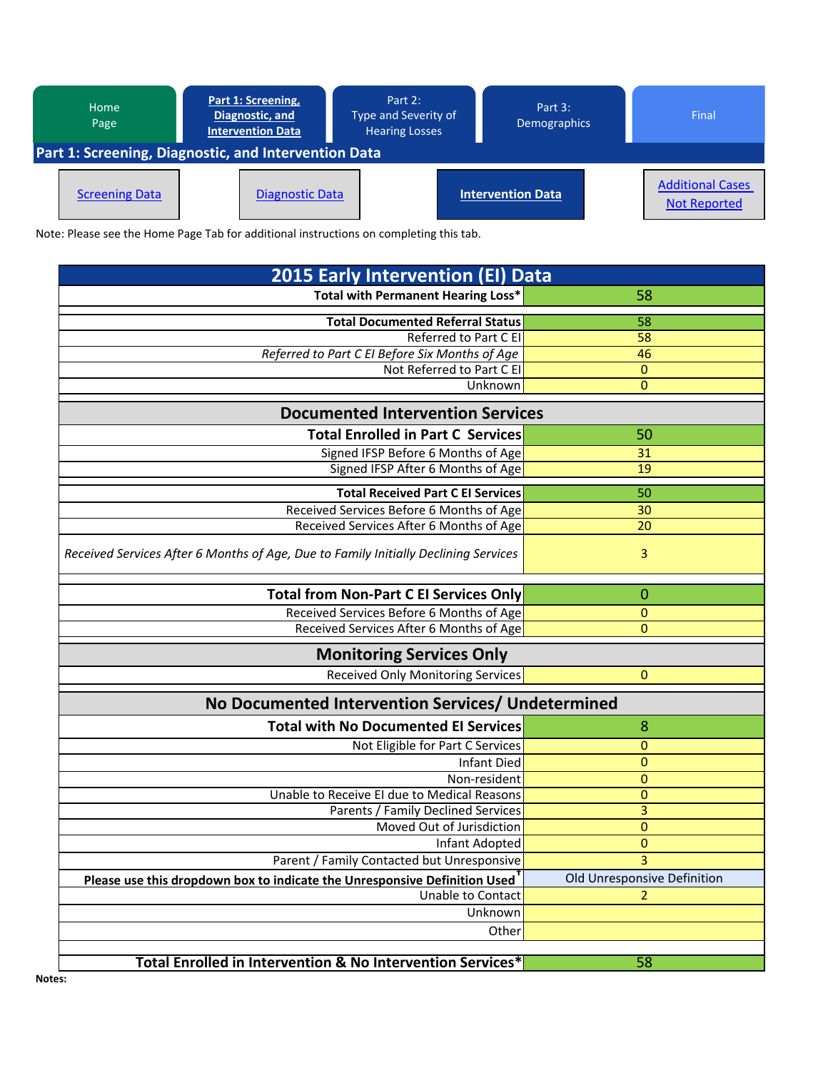| Home<br>Page                                                | Part 1: Screening,<br>Diagnostic, and<br><b>Intervention Data</b> | Part 2:<br>Type and Severity of<br><b>Hearing Losses</b> | Part $3:$<br><b>Demographics</b> | Final                                          |  |  |  |
|-------------------------------------------------------------|-------------------------------------------------------------------|----------------------------------------------------------|----------------------------------|------------------------------------------------|--|--|--|
| <b>Part 1: Screening, Diagnostic, and Intervention Data</b> |                                                                   |                                                          |                                  |                                                |  |  |  |
| <b>Screening Data</b>                                       | <b>Diagnostic Data</b>                                            |                                                          | <b>Intervention Data</b>         | <b>Additional Cases</b><br><b>Not Reported</b> |  |  |  |

Note: Please see the Home Page Tab for additional instructions on completing this tab.

| <b>2015 Early Intervention (EI) Data</b>                                               |                             |
|----------------------------------------------------------------------------------------|-----------------------------|
| Total with Permanent Hearing Loss*                                                     | 58                          |
| <b>Total Documented Referral Status</b>                                                | 58                          |
| Referred to Part C EI                                                                  | 58                          |
| Referred to Part C EI Before Six Months of Age                                         | 46                          |
| Not Referred to Part C EI                                                              | 0                           |
| Unknown                                                                                | 0                           |
| <b>Documented Intervention Services</b>                                                |                             |
| <b>Total Enrolled in Part C Services</b>                                               | 50                          |
| Signed IFSP Before 6 Months of Age                                                     | 31                          |
| Signed IFSP After 6 Months of Age                                                      | 19                          |
| <b>Total Received Part C EI Services</b>                                               | 50                          |
| Received Services Before 6 Months of Age                                               | 30                          |
| Received Services After 6 Months of Age                                                | 20                          |
| Received Services After 6 Months of Age, Due to Family Initially Declining Services    | 3                           |
| <b>Total from Non-Part C EI Services Only</b>                                          | 0                           |
| Received Services Before 6 Months of Age                                               | 0                           |
| Received Services After 6 Months of Age                                                | 0                           |
| <b>Monitoring Services Only</b>                                                        |                             |
| <b>Received Only Monitoring Services</b>                                               | 0                           |
| No Documented Intervention Services/ Undetermined                                      |                             |
| <b>Total with No Documented EI Services</b>                                            | 8                           |
| Not Eligible for Part C Services                                                       | 0                           |
| <b>Infant Died</b>                                                                     | 0                           |
| Non-resident                                                                           | 0                           |
| Unable to Receive El due to Medical Reasons                                            | 0                           |
| Parents / Family Declined Services                                                     | 3                           |
| Moved Out of Jurisdiction                                                              | 0                           |
| Infant Adopted                                                                         | 0                           |
| Parent / Family Contacted but Unresponsive                                             | 3                           |
| Please use this dropdown box to indicate the Unresponsive Definition Used <sup>T</sup> | Old Unresponsive Definition |
| Unable to Contact                                                                      | $\mathbf{2}$                |
| Unknown                                                                                |                             |
| Other                                                                                  |                             |
|                                                                                        |                             |
| Total Enrolled in Intervention & No Intervention Services*                             | 58                          |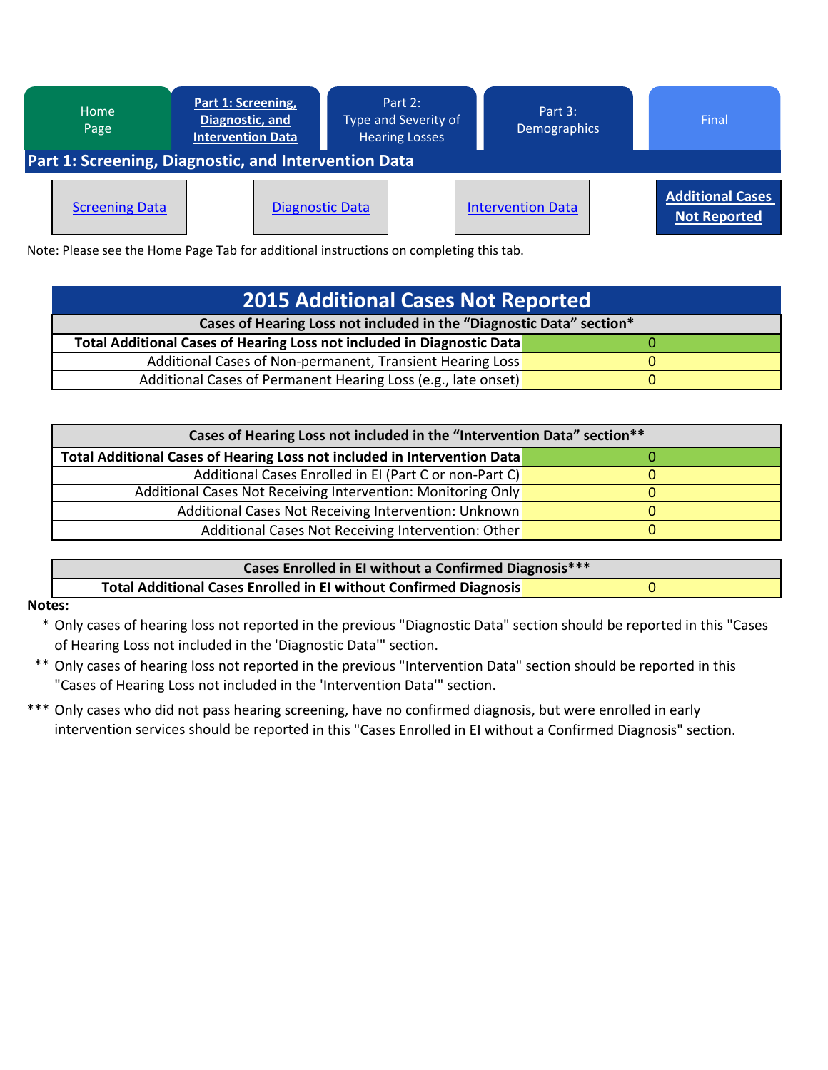

Note: Please see the Home Page Tab for additional instructions on completing this tab.

| <b>2015 Additional Cases Not Reported</b>                              |  |  |  |  |  |
|------------------------------------------------------------------------|--|--|--|--|--|
| Cases of Hearing Loss not included in the "Diagnostic Data" section*   |  |  |  |  |  |
| Total Additional Cases of Hearing Loss not included in Diagnostic Data |  |  |  |  |  |
| Additional Cases of Non-permanent, Transient Hearing Loss              |  |  |  |  |  |
| Additional Cases of Permanent Hearing Loss (e.g., late onset)          |  |  |  |  |  |

| Cases of Hearing Loss not included in the "Intervention Data" section**  |  |  |  |  |  |
|--------------------------------------------------------------------------|--|--|--|--|--|
| Total Additional Cases of Hearing Loss not included in Intervention Data |  |  |  |  |  |
| Additional Cases Enrolled in EI (Part C or non-Part C)                   |  |  |  |  |  |
| Additional Cases Not Receiving Intervention: Monitoring Only             |  |  |  |  |  |
| Additional Cases Not Receiving Intervention: Unknown                     |  |  |  |  |  |
| Additional Cases Not Receiving Intervention: Other                       |  |  |  |  |  |

| Cases Enrolled in EI without a Confirmed Diagnosis***             |  |  |  |
|-------------------------------------------------------------------|--|--|--|
| Total Additional Cases Enrolled in El without Confirmed Diagnosis |  |  |  |

## **Notes:**

\* Only cases of hearing loss not reported in the previous "Diagnostic Data" section should be reported in this "Cases of Hearing Loss not included in the 'Diagnostic Data'" section.

- \*\* Only cases of hearing loss not reported in the previous "Intervention Data" section should be reported in this "Cases of Hearing Loss not included in the 'Intervention Data'" section.
- \*\*\* Only cases who did not pass hearing screening, have no confirmed diagnosis, but were enrolled in early intervention services should be reported in this "Cases Enrolled in EI without a Confirmed Diagnosis" section.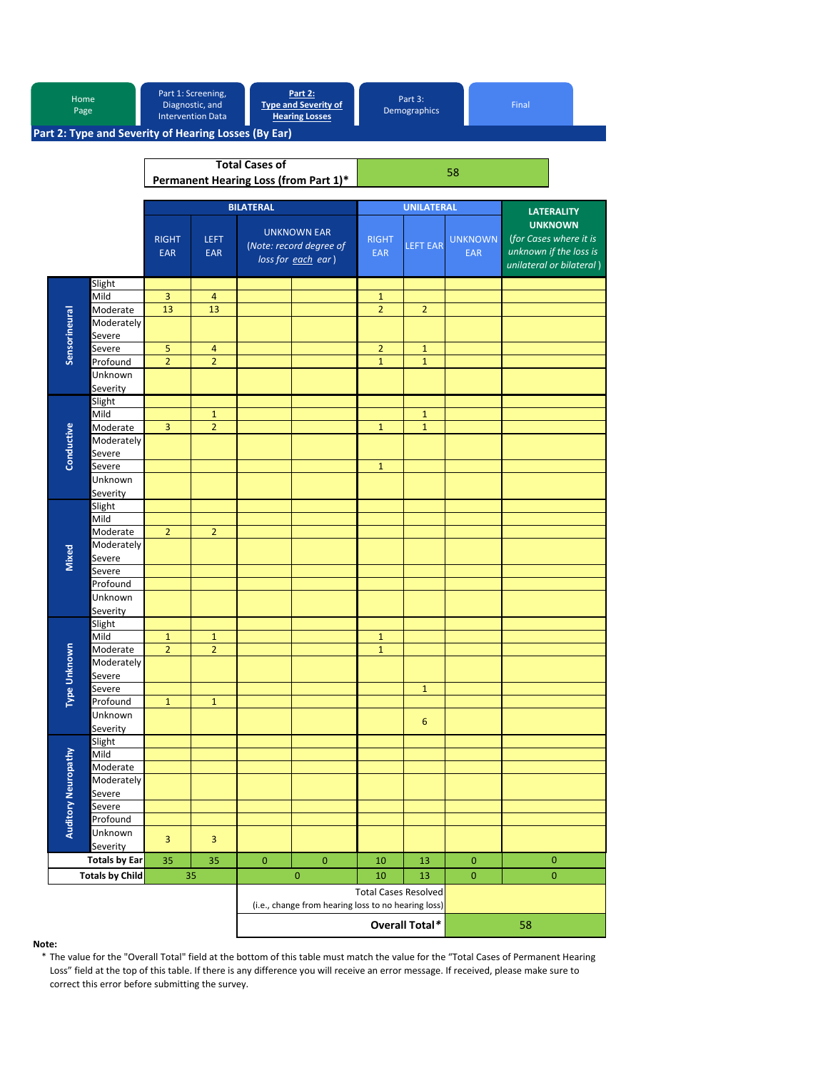|  | Home<br>Page        |                                                      |                                                                | Part 1: Screening,<br>Diagnostic, and<br><b>Intervention Data</b> |                                                                       | <b>Part 2:</b><br><b>Type and Severity of</b><br><b>Hearing Losses</b> | Part 3:<br>Final<br>Demographics |                   |                              |                                                                                                |  |
|--|---------------------|------------------------------------------------------|----------------------------------------------------------------|-------------------------------------------------------------------|-----------------------------------------------------------------------|------------------------------------------------------------------------|----------------------------------|-------------------|------------------------------|------------------------------------------------------------------------------------------------|--|
|  |                     | Part 2: Type and Severity of Hearing Losses (By Ear) |                                                                |                                                                   |                                                                       |                                                                        |                                  |                   |                              |                                                                                                |  |
|  |                     |                                                      | <b>Total Cases of</b><br>Permanent Hearing Loss (from Part 1)* |                                                                   |                                                                       |                                                                        |                                  |                   |                              |                                                                                                |  |
|  |                     |                                                      |                                                                |                                                                   | <b>BILATERAL</b>                                                      |                                                                        |                                  | <b>UNILATERAL</b> |                              | <b>LATERALITY</b>                                                                              |  |
|  |                     |                                                      | <b>RIGHT</b><br><b>EAR</b>                                     | <b>LEFT</b><br><b>EAR</b>                                         |                                                                       | <b>UNKNOWN EAR</b><br>(Note: record degree of<br>loss for each ear)    | <b>RIGHT</b><br><b>EAR</b>       | <b>LEFT EAR</b>   | <b>UNKNOWN</b><br><b>EAR</b> | <b>UNKNOWN</b><br>(for Cases where it is<br>unknown if the loss is<br>unilateral or bilateral) |  |
|  |                     | Slight                                               |                                                                |                                                                   |                                                                       |                                                                        |                                  |                   |                              |                                                                                                |  |
|  |                     | Mild                                                 | 3                                                              | $\overline{4}$                                                    |                                                                       |                                                                        | $\mathbf{1}$                     |                   |                              |                                                                                                |  |
|  |                     | Moderate                                             | 13                                                             | 13                                                                |                                                                       |                                                                        | $\overline{2}$                   | $\overline{2}$    |                              |                                                                                                |  |
|  | Sensorineural       | Moderately                                           |                                                                |                                                                   |                                                                       |                                                                        |                                  |                   |                              |                                                                                                |  |
|  |                     | Severe                                               |                                                                |                                                                   |                                                                       |                                                                        |                                  |                   |                              |                                                                                                |  |
|  |                     | Severe                                               | $\overline{5}$                                                 | $\overline{\mathbf{4}}$                                           |                                                                       |                                                                        | $\overline{2}$                   | $\mathbf{1}$      |                              |                                                                                                |  |
|  |                     | Profound                                             | $\overline{2}$                                                 | $\overline{2}$                                                    |                                                                       |                                                                        | $\mathbf{1}$                     | $\mathbf{1}$      |                              |                                                                                                |  |
|  |                     | Unknown                                              |                                                                |                                                                   |                                                                       |                                                                        |                                  |                   |                              |                                                                                                |  |
|  |                     | Severity                                             |                                                                |                                                                   |                                                                       |                                                                        |                                  |                   |                              |                                                                                                |  |
|  |                     | Slight                                               |                                                                |                                                                   |                                                                       |                                                                        |                                  |                   |                              |                                                                                                |  |
|  |                     | Mild                                                 |                                                                | $\mathbf{1}$                                                      |                                                                       |                                                                        |                                  | $\mathbf{1}$      |                              |                                                                                                |  |
|  |                     | Moderate                                             | $\overline{3}$                                                 | $\overline{2}$                                                    |                                                                       |                                                                        | $\mathbf 1$                      | $\mathbf{1}$      |                              |                                                                                                |  |
|  |                     | Moderately                                           |                                                                |                                                                   |                                                                       |                                                                        |                                  |                   |                              |                                                                                                |  |
|  | Conductive          | Severe                                               |                                                                |                                                                   |                                                                       |                                                                        |                                  |                   |                              |                                                                                                |  |
|  |                     | Severe<br>Unknown                                    |                                                                |                                                                   |                                                                       |                                                                        | $\mathbf{1}$                     |                   |                              |                                                                                                |  |
|  |                     | Severity                                             |                                                                |                                                                   |                                                                       |                                                                        |                                  |                   |                              |                                                                                                |  |
|  |                     |                                                      |                                                                |                                                                   |                                                                       |                                                                        |                                  |                   |                              |                                                                                                |  |
|  |                     | Slight<br>Mild                                       |                                                                |                                                                   |                                                                       |                                                                        |                                  |                   |                              |                                                                                                |  |
|  |                     | Moderate                                             | $\overline{2}$                                                 | $\overline{2}$                                                    |                                                                       |                                                                        |                                  |                   |                              |                                                                                                |  |
|  |                     | Moderately                                           |                                                                |                                                                   |                                                                       |                                                                        |                                  |                   |                              |                                                                                                |  |
|  |                     | Severe                                               |                                                                |                                                                   |                                                                       |                                                                        |                                  |                   |                              |                                                                                                |  |
|  | <b>Mixed</b>        | Severe                                               |                                                                |                                                                   |                                                                       |                                                                        |                                  |                   |                              |                                                                                                |  |
|  |                     | Profound                                             |                                                                |                                                                   |                                                                       |                                                                        |                                  |                   |                              |                                                                                                |  |
|  |                     | Unknown                                              |                                                                |                                                                   |                                                                       |                                                                        |                                  |                   |                              |                                                                                                |  |
|  |                     | Severity                                             |                                                                |                                                                   |                                                                       |                                                                        |                                  |                   |                              |                                                                                                |  |
|  |                     | Slight                                               |                                                                |                                                                   |                                                                       |                                                                        |                                  |                   |                              |                                                                                                |  |
|  |                     | Mild                                                 | $\mathbf{1}$                                                   | $\mathbf{1}$                                                      |                                                                       |                                                                        | $\mathbf{1}$                     |                   |                              |                                                                                                |  |
|  |                     | Moderate                                             | $\overline{2}$                                                 | $\overline{2}$                                                    |                                                                       |                                                                        | $\mathbf{1}$                     |                   |                              |                                                                                                |  |
|  |                     | Moderately                                           |                                                                |                                                                   |                                                                       |                                                                        |                                  |                   |                              |                                                                                                |  |
|  |                     | Severe                                               |                                                                |                                                                   |                                                                       |                                                                        |                                  |                   |                              |                                                                                                |  |
|  | Type Unknown        | Severe                                               |                                                                |                                                                   |                                                                       |                                                                        |                                  | $\mathbf{1}$      |                              |                                                                                                |  |
|  |                     | Profound                                             | $\mathbf{1}$                                                   | $\mathbf{1}$                                                      |                                                                       |                                                                        |                                  |                   |                              |                                                                                                |  |
|  |                     | Unknown                                              |                                                                |                                                                   |                                                                       |                                                                        |                                  |                   |                              |                                                                                                |  |
|  |                     | Severity                                             |                                                                |                                                                   |                                                                       |                                                                        |                                  | $\boldsymbol{6}$  |                              |                                                                                                |  |
|  |                     | Slight                                               |                                                                |                                                                   |                                                                       |                                                                        |                                  |                   |                              |                                                                                                |  |
|  |                     | Mild                                                 |                                                                |                                                                   |                                                                       |                                                                        |                                  |                   |                              |                                                                                                |  |
|  |                     | Moderate                                             |                                                                |                                                                   |                                                                       |                                                                        |                                  |                   |                              |                                                                                                |  |
|  |                     | Moderately                                           |                                                                |                                                                   |                                                                       |                                                                        |                                  |                   |                              |                                                                                                |  |
|  | Auditory Neuropathy | Severe                                               |                                                                |                                                                   |                                                                       |                                                                        |                                  |                   |                              |                                                                                                |  |
|  |                     | Severe                                               |                                                                |                                                                   |                                                                       |                                                                        |                                  |                   |                              |                                                                                                |  |
|  |                     | Profound                                             |                                                                |                                                                   |                                                                       |                                                                        |                                  |                   |                              |                                                                                                |  |
|  |                     | Unknown                                              | 3                                                              | 3                                                                 |                                                                       |                                                                        |                                  |                   |                              |                                                                                                |  |
|  |                     | Severity                                             |                                                                |                                                                   |                                                                       |                                                                        |                                  |                   |                              |                                                                                                |  |
|  |                     | <b>Totals by Ear</b>                                 | 35                                                             | 35                                                                | $\mathbf{0}$                                                          | $\pmb{0}$                                                              | 10                               | 13                | $\pmb{0}$                    | $\pmb{0}$                                                                                      |  |
|  |                     | <b>Totals by Child</b>                               |                                                                | 35                                                                |                                                                       | $\pmb{0}$                                                              | 10                               | 13                | $\mathbf{0}$                 | $\mathbf{0}$                                                                                   |  |
|  |                     |                                                      |                                                                |                                                                   | <b>Total Cases Resolved</b>                                           |                                                                        |                                  |                   |                              |                                                                                                |  |
|  |                     |                                                      |                                                                |                                                                   | (i.e., change from hearing loss to no hearing loss)<br>Overall Total* |                                                                        |                                  |                   |                              |                                                                                                |  |
|  |                     |                                                      |                                                                |                                                                   | 58                                                                    |                                                                        |                                  |                   |                              |                                                                                                |  |

## **Note:**

\* The value for the "Overall Total" field at the bottom of this table must match the value for the "Total Cases of Permanent Hearing Loss" field at the top of this table. If there is any difference you will receive an error message. If received, please make sure to correct this error before submitting the survey.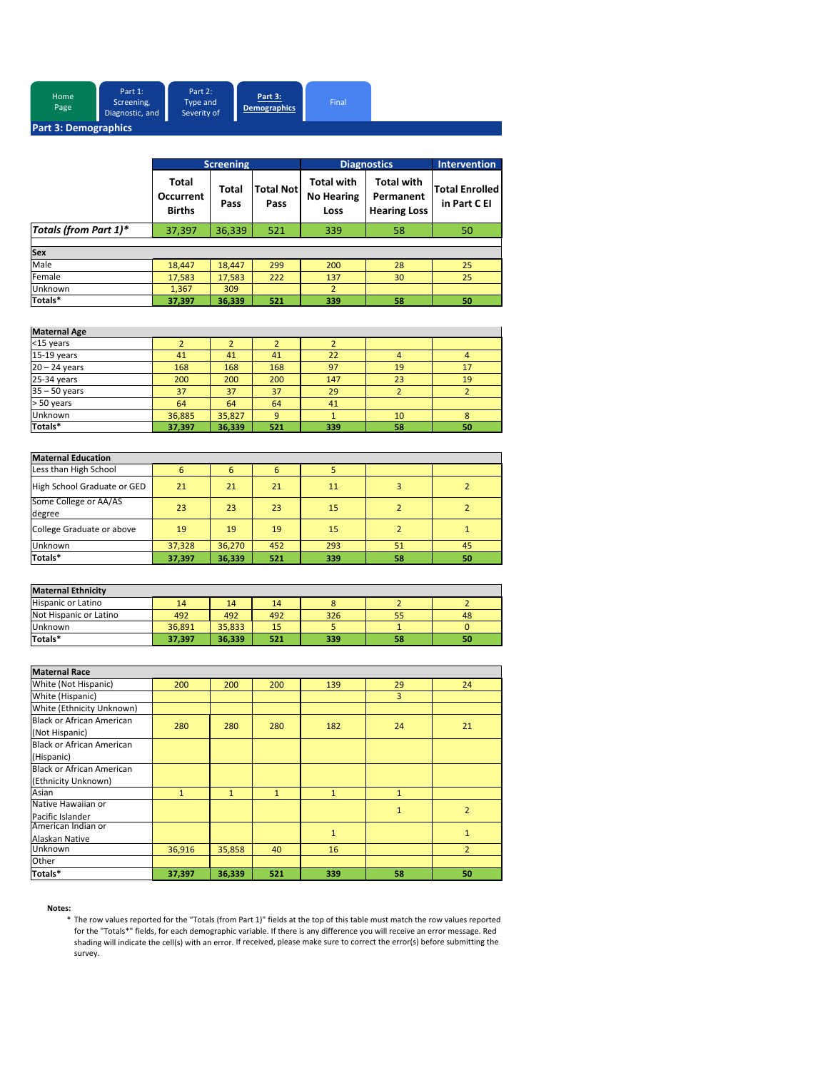| Home<br>Page         | Part 1:<br>Screening,<br>Diagnostic, and | Part 2:<br>Type and<br>Severity of | Part 3:<br>Demographics | Final |  |  |  |
|----------------------|------------------------------------------|------------------------------------|-------------------------|-------|--|--|--|
| Part 3: Demographics |                                          |                                    |                         |       |  |  |  |

|                       | <b>Screening</b>                                  |               |                          | <b>Diagnostics</b>                             | Intervention                                          |                                       |
|-----------------------|---------------------------------------------------|---------------|--------------------------|------------------------------------------------|-------------------------------------------------------|---------------------------------------|
|                       | <b>Total</b><br><b>Occurrent</b><br><b>Births</b> | Total<br>Pass | <b>Total Not</b><br>Pass | <b>Total with</b><br><b>No Hearing</b><br>Loss | <b>Total with</b><br>Permanent<br><b>Hearing Loss</b> | <b>Total Enrolled</b><br>in Part C EI |
| Totals (from Part 1)* | 37,397                                            | 36,339        | 521                      | 339                                            | 58                                                    | 50                                    |
|                       |                                                   |               |                          |                                                |                                                       |                                       |
| Sex                   |                                                   |               |                          |                                                |                                                       |                                       |
| Male                  | 18,447                                            | 18,447        | 299                      | 200                                            | 28                                                    | 25                                    |
| Female                | 17,583                                            | 17.583        | 222                      | 137                                            | 30                                                    | 25                                    |
| Unknown               | 1.367                                             | 309           |                          | 2                                              |                                                       |                                       |
| Totals*               | 37,397                                            | 36,339        | 521                      | 339                                            | 58                                                    | 50                                    |

| <b>Maternal Age</b> |        |        |     |     |    |    |
|---------------------|--------|--------|-----|-----|----|----|
| <15 years           |        |        |     |     |    |    |
| 15-19 years         | 41     | 41     | 41  | 22  |    | 4  |
| $20 - 24$ years     | 168    | 168    | 168 | 97  | 19 | 17 |
| 25-34 years         | 200    | 200    | 200 | 147 | 23 | 19 |
| $35 - 50$ years     | 37     | 37     | 37  | 29  |    |    |
| > 50 years          | 64     | 64     | 64  | 41  |    |    |
| Unknown             | 36,885 | 35,827 | q   |     | 10 | 8  |
| Totals*             | 37,397 | 36,339 | 521 | 339 | 58 | 50 |

| <b>Maternal Education</b>       |        |        |     |     |    |    |
|---------------------------------|--------|--------|-----|-----|----|----|
| Less than High School           | 6      | 6      | 6   |     |    |    |
| High School Graduate or GED     | 21     | 21     | 21  | 11  |    |    |
| Some College or AA/AS<br>degree | 23     | 23     | 23  | 15  |    |    |
| College Graduate or above       | 19     | 19     | 19  | 15  |    |    |
| Unknown                         | 37,328 | 36.270 | 452 | 293 | 51 | 45 |
| Totals*                         | 37,397 | 36,339 | 521 | 339 | 58 | 50 |

| <b>Maternal Ethnicity</b> |        |        |     |     |    |    |
|---------------------------|--------|--------|-----|-----|----|----|
| <b>Hispanic or Latino</b> | 14     | 14     | 14  |     |    |    |
| Not Hispanic or Latino    | 492    | 492    | 492 | 326 | 55 | 48 |
| Unknown                   | 36.891 | 35.833 | 15  |     |    |    |
| Totals*                   | 37.397 | 36.339 | 521 | 339 | 58 | 50 |

| <b>Maternal Race</b>             |              |              |              |              |              |                |
|----------------------------------|--------------|--------------|--------------|--------------|--------------|----------------|
| White (Not Hispanic)             | 200          | 200          | 200          | 139          | 29           | 24             |
| White (Hispanic)                 |              |              |              |              | 3            |                |
| White (Ethnicity Unknown)        |              |              |              |              |              |                |
| <b>Black or African American</b> |              | 280          | 280          | 182          |              |                |
| (Not Hispanic)                   | 280          |              |              |              | 24           | 21             |
| <b>Black or African American</b> |              |              |              |              |              |                |
| (Hispanic)                       |              |              |              |              |              |                |
| <b>Black or African American</b> |              |              |              |              |              |                |
| (Ethnicity Unknown)              |              |              |              |              |              |                |
| Asian                            | $\mathbf{1}$ | $\mathbf{1}$ | $\mathbf{1}$ | $\mathbf{1}$ | $\mathbf{1}$ |                |
| Native Hawaiian or               |              |              |              |              | $\mathbf{1}$ | $\overline{2}$ |
| Pacific Islander                 |              |              |              |              |              |                |
| American Indian or               |              |              |              | $\mathbf{1}$ |              | $\mathbf{1}$   |
| Alaskan Native                   |              |              |              |              |              |                |
| Unknown                          | 36,916       | 35,858       | 40           | 16           |              | $\overline{2}$ |
| Other                            |              |              |              |              |              |                |
| Totals*                          | 37,397       | 36,339       | 521          | 339          | 58           | 50             |

#### **Notes:**

\* The row values reported for the "Totals (from Part 1)" fields at the top of this table must match the row values reported for the "Totals\*" fields, for each demographic variable. If there is any difference you will receive an error message. Red shading will indicate the cell(s) with an error. If received, please make sure to correct the error(s) before submitting the shading will indicate the cell(s) with an error. If received, please make sure to correct the err survey.